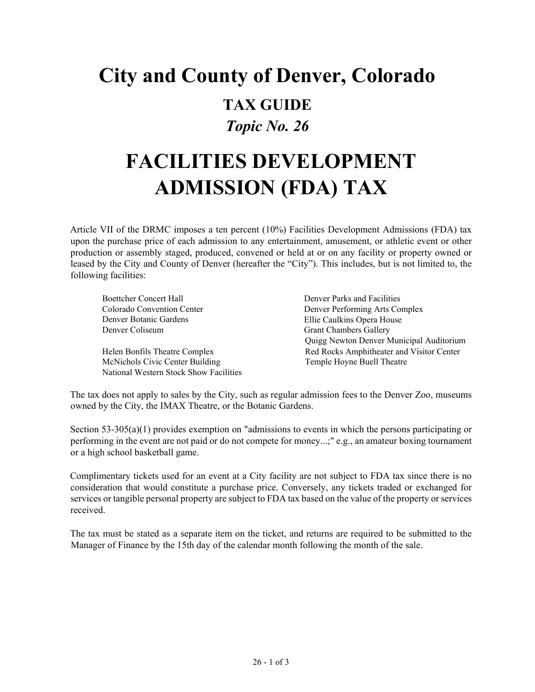# **City and County of Denver, Colorado TAX GUIDE** *Topic No. 26*

# **FACILITIES DEVELOPMENT ADMISSION (FDA) TAX**

Article VII of the DRMC imposes a ten percent (10%) Facilities Development Admissions (FDA) tax upon the purchase price of each admission to any entertainment, amusement, or athletic event or other production or assembly staged, produced, convened or held at or on any facility or property owned or leased by the City and County of Denver (hereafter the "City"). This includes, but is not limited to, the following facilities:

Boettcher Concert Hall Colorado Convention Center Denver Botanic Gardens Denver Coliseum

Helen Bonfils Theatre Complex McNichols Civic Center Building National Western Stock Show Facilities Denver Parks and Facilities Denver Performing Arts Complex Ellie Caulkins Opera House Grant Chambers Gallery Quigg Newton Denver Municipal Auditorium Red Rocks Amphitheater and Visitor Center Temple Hoyne Buell Theatre

The tax does not apply to sales by the City, such as regular admission fees to the Denver Zoo, museums owned by the City, the IMAX Theatre, or the Botanic Gardens.

Section 53-305(a)(1) provides exemption on "admissions to events in which the persons participating or performing in the event are not paid or do not compete for money...;" e.g., an amateur boxing tournament or a high school basketball game.

Complimentary tickets used for an event at a City facility are not subject to FDA tax since there is no consideration that would constitute a purchase price. Conversely, any tickets traded or exchanged for services or tangible personal property are subject to FDA tax based on the value of the property or services received.

The tax must be stated as a separate item on the ticket, and returns are required to be submitted to the Manager of Finance by the 15th day of the calendar month following the month of the sale.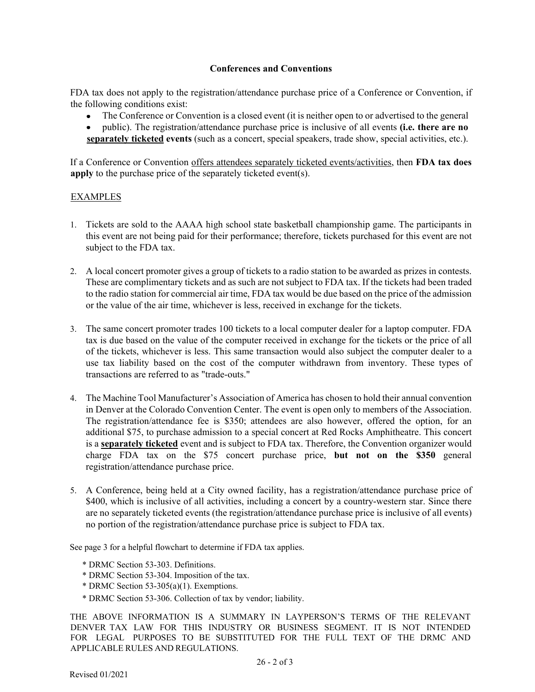### **Conferences and Conventions**

FDA tax does not apply to the registration/attendance purchase price of a Conference or Convention, if the following conditions exist:

- The Conference or Convention is a closed event (it is neither open to or advertised to the general
- public). The registration/attendance purchase price is inclusive of all events **(i.e. there are no separately ticketed events** (such as a concert, special speakers, trade show, special activities, etc.).

If a Conference or Convention offers attendees separately ticketed events/activities, then **FDA tax does apply** to the purchase price of the separately ticketed event(s).

### EXAMPLES

- 1. Tickets are sold to the AAAA high school state basketball championship game. The participants in this event are not being paid for their performance; therefore, tickets purchased for this event are not subject to the FDA tax.
- 2. A local concert promoter gives a group of tickets to a radio station to be awarded as prizes in contests. These are complimentary tickets and as such are not subject to FDA tax. If the tickets had been traded to the radio station for commercial air time, FDA tax would be due based on the price of the admission or the value of the air time, whichever is less, received in exchange for the tickets.
- 3. The same concert promoter trades 100 tickets to a local computer dealer for a laptop computer. FDA tax is due based on the value of the computer received in exchange for the tickets or the price of all of the tickets, whichever is less. This same transaction would also subject the computer dealer to a use tax liability based on the cost of the computer withdrawn from inventory. These types of transactions are referred to as "trade-outs."
- 4. The Machine Tool Manufacturer's Association of America has chosen to hold their annual convention in Denver at the Colorado Convention Center. The event is open only to members of the Association. The registration/attendance fee is \$350; attendees are also however, offered the option, for an additional \$75, to purchase admission to a special concert at Red Rocks Amphitheatre. This concert is a **separately ticketed** event and is subject to FDA tax. Therefore, the Convention organizer would charge FDA tax on the \$75 concert purchase price, **but not on the \$350** general registration/attendance purchase price.
- 5. A Conference, being held at a City owned facility, has a registration/attendance purchase price of \$400, which is inclusive of all activities, including a concert by a country-western star. Since there are no separately ticketed events (the registration/attendance purchase price is inclusive of all events) no portion of the registration/attendance purchase price is subject to FDA tax.

See page 3 for a helpful flowchart to determine if FDA tax applies.

- \* DRMC Section 53-303. Definitions.
- \* DRMC Section 53-304. Imposition of the tax.
- \* DRMC Section 53-305(a)(1). Exemptions.
- \* DRMC Section 53-306. Collection of tax by vendor; liability.

THE ABOVE INFORMATION IS A SUMMARY IN LAYPERSON'S TERMS OF THE RELEVANT DENVER TAX LAW FOR THIS INDUSTRY OR BUSINESS SEGMENT. IT IS NOT INTENDED FOR LEGAL PURPOSES TO BE SUBSTITUTED FOR THE FULL TEXT OF THE DRMC AND APPLICABLE RULES AND REGULATIONS.